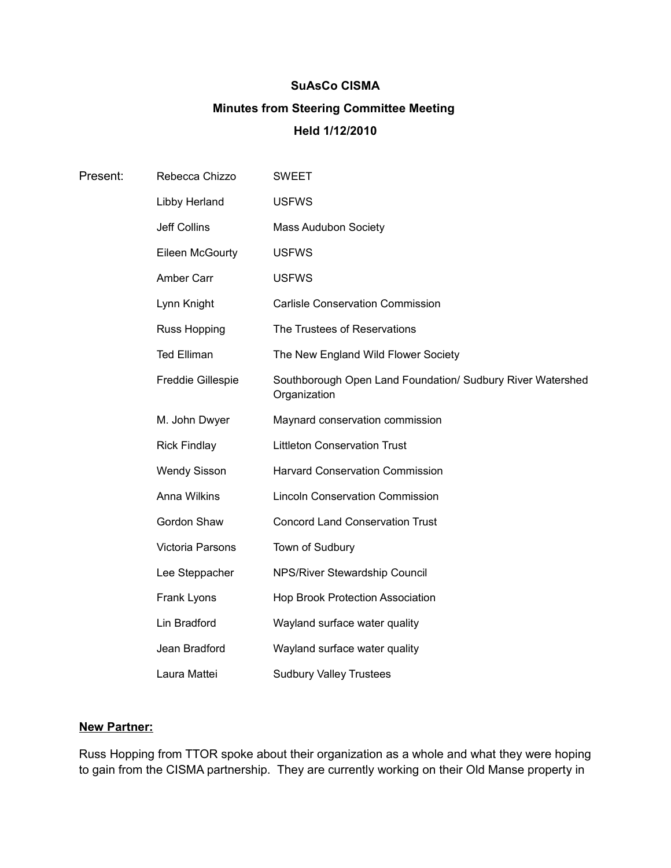# **SuAsCo CISMA Minutes from Steering Committee Meeting Held 1/12/2010**

| Present: | Rebecca Chizzo           | <b>SWEET</b>                                                               |
|----------|--------------------------|----------------------------------------------------------------------------|
|          | Libby Herland            | <b>USFWS</b>                                                               |
|          | Jeff Collins             | <b>Mass Audubon Society</b>                                                |
|          | Eileen McGourty          | <b>USFWS</b>                                                               |
|          | Amber Carr               | <b>USFWS</b>                                                               |
|          | Lynn Knight              | <b>Carlisle Conservation Commission</b>                                    |
|          | <b>Russ Hopping</b>      | The Trustees of Reservations                                               |
|          | <b>Ted Elliman</b>       | The New England Wild Flower Society                                        |
|          | <b>Freddie Gillespie</b> | Southborough Open Land Foundation/ Sudbury River Watershed<br>Organization |
|          | M. John Dwyer            | Maynard conservation commission                                            |
|          | <b>Rick Findlay</b>      | <b>Littleton Conservation Trust</b>                                        |
|          | <b>Wendy Sisson</b>      | <b>Harvard Conservation Commission</b>                                     |
|          | Anna Wilkins             | <b>Lincoln Conservation Commission</b>                                     |
|          | Gordon Shaw              | <b>Concord Land Conservation Trust</b>                                     |
|          | Victoria Parsons         | Town of Sudbury                                                            |
|          | Lee Steppacher           | NPS/River Stewardship Council                                              |
|          | Frank Lyons              | <b>Hop Brook Protection Association</b>                                    |
|          | Lin Bradford             | Wayland surface water quality                                              |
|          | Jean Bradford            | Wayland surface water quality                                              |
|          | Laura Mattei             | <b>Sudbury Valley Trustees</b>                                             |

## **New Partner:**

Russ Hopping from TTOR spoke about their organization as a whole and what they were hoping to gain from the CISMA partnership. They are currently working on their Old Manse property in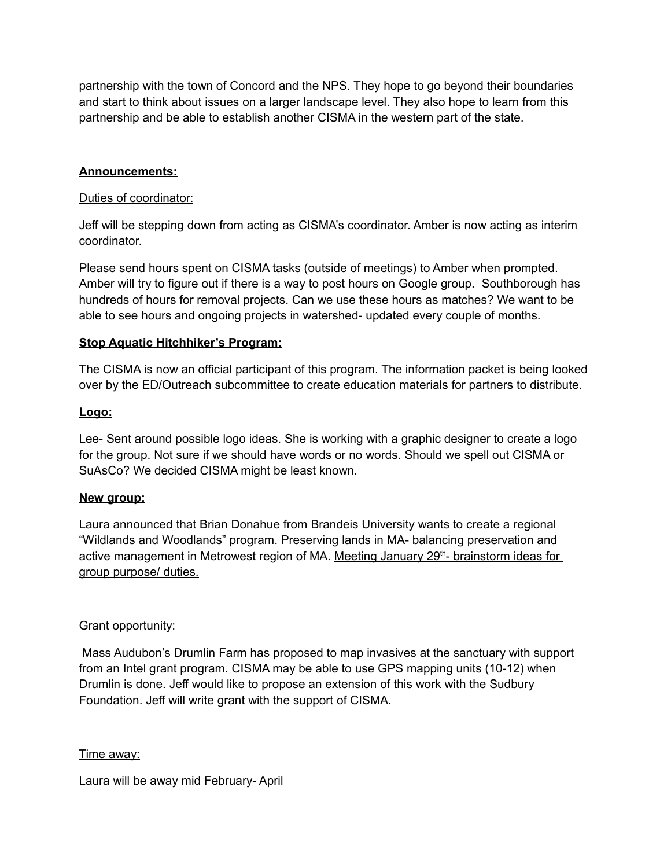partnership with the town of Concord and the NPS. They hope to go beyond their boundaries and start to think about issues on a larger landscape level. They also hope to learn from this partnership and be able to establish another CISMA in the western part of the state.

## **Announcements:**

#### Duties of coordinator:

Jeff will be stepping down from acting as CISMA's coordinator. Amber is now acting as interim coordinator.

Please send hours spent on CISMA tasks (outside of meetings) to Amber when prompted. Amber will try to figure out if there is a way to post hours on Google group. Southborough has hundreds of hours for removal projects. Can we use these hours as matches? We want to be able to see hours and ongoing projects in watershed- updated every couple of months.

## **Stop Aquatic Hitchhiker's Program:**

The CISMA is now an official participant of this program. The information packet is being looked over by the ED/Outreach subcommittee to create education materials for partners to distribute.

#### **Logo:**

Lee- Sent around possible logo ideas. She is working with a graphic designer to create a logo for the group. Not sure if we should have words or no words. Should we spell out CISMA or SuAsCo? We decided CISMA might be least known.

## **New group:**

Laura announced that Brian Donahue from Brandeis University wants to create a regional "Wildlands and Woodlands" program. Preserving lands in MA- balancing preservation and active management in Metrowest region of MA. Meeting January 29<sup>th</sup>- brainstorm ideas for group purpose/ duties.

## Grant opportunity:

 Mass Audubon's Drumlin Farm has proposed to map invasives at the sanctuary with support from an Intel grant program. CISMA may be able to use GPS mapping units (10-12) when Drumlin is done. Jeff would like to propose an extension of this work with the Sudbury Foundation. Jeff will write grant with the support of CISMA.

## Time away:

Laura will be away mid February- April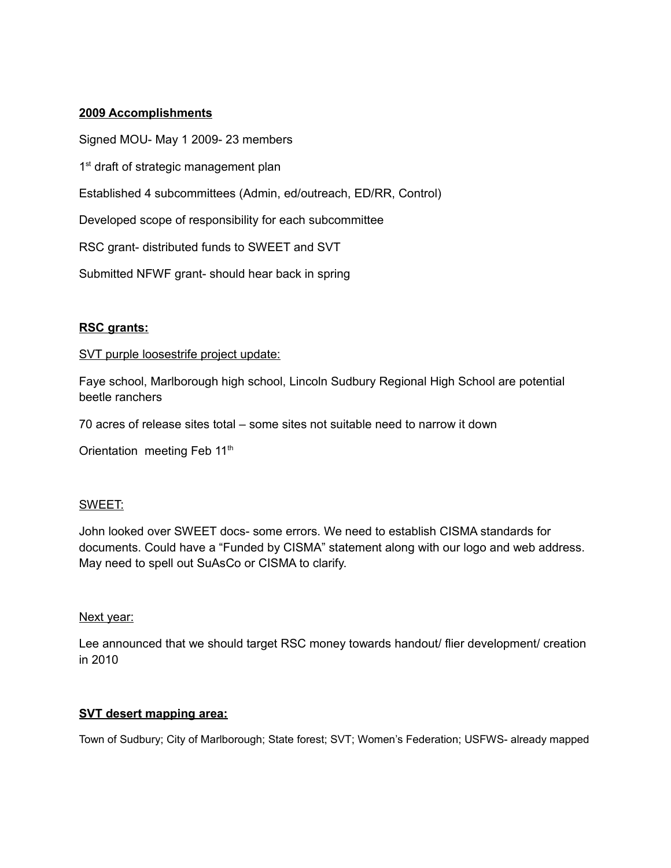## **2009 Accomplishments**

Signed MOU- May 1 2009- 23 members 1<sup>st</sup> draft of strategic management plan Established 4 subcommittees (Admin, ed/outreach, ED/RR, Control)

Developed scope of responsibility for each subcommittee

RSC grant- distributed funds to SWEET and SVT

Submitted NFWF grant- should hear back in spring

## **RSC grants:**

## SVT purple loosestrife project update:

Faye school, Marlborough high school, Lincoln Sudbury Regional High School are potential beetle ranchers

70 acres of release sites total – some sites not suitable need to narrow it down

Orientation meeting Feb 11<sup>th</sup>

## SWEET:

John looked over SWEET docs- some errors. We need to establish CISMA standards for documents. Could have a "Funded by CISMA" statement along with our logo and web address. May need to spell out SuAsCo or CISMA to clarify.

## Next year:

Lee announced that we should target RSC money towards handout/ flier development/ creation in 2010

## **SVT desert mapping area:**

Town of Sudbury; City of Marlborough; State forest; SVT; Women's Federation; USFWS- already mapped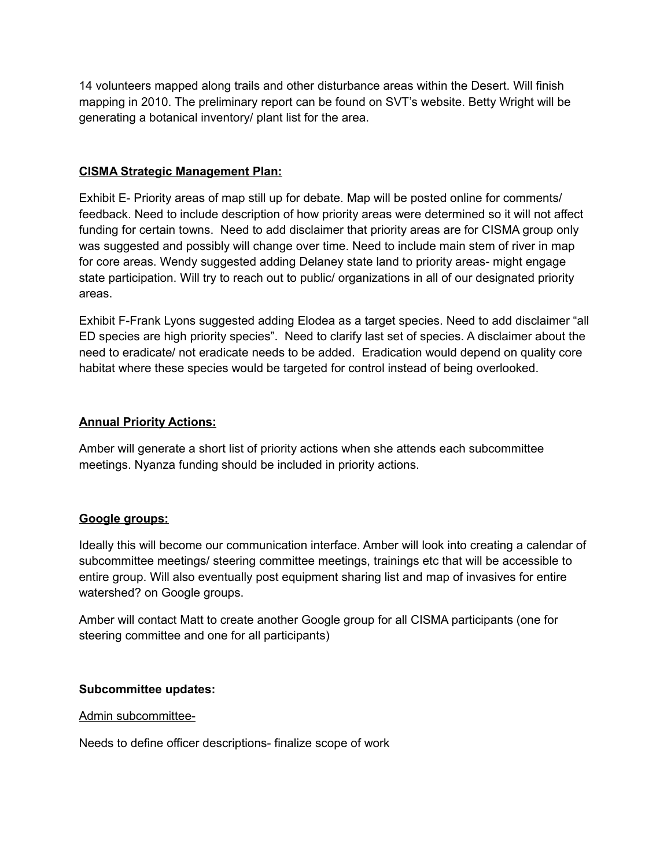14 volunteers mapped along trails and other disturbance areas within the Desert. Will finish mapping in 2010. The preliminary report can be found on SVT's website. Betty Wright will be generating a botanical inventory/ plant list for the area.

## **CISMA Strategic Management Plan:**

Exhibit E- Priority areas of map still up for debate. Map will be posted online for comments/ feedback. Need to include description of how priority areas were determined so it will not affect funding for certain towns. Need to add disclaimer that priority areas are for CISMA group only was suggested and possibly will change over time. Need to include main stem of river in map for core areas. Wendy suggested adding Delaney state land to priority areas- might engage state participation. Will try to reach out to public/ organizations in all of our designated priority areas.

Exhibit F-Frank Lyons suggested adding Elodea as a target species. Need to add disclaimer "all ED species are high priority species". Need to clarify last set of species. A disclaimer about the need to eradicate/ not eradicate needs to be added. Eradication would depend on quality core habitat where these species would be targeted for control instead of being overlooked.

## **Annual Priority Actions:**

Amber will generate a short list of priority actions when she attends each subcommittee meetings. Nyanza funding should be included in priority actions.

## **Google groups:**

Ideally this will become our communication interface. Amber will look into creating a calendar of subcommittee meetings/ steering committee meetings, trainings etc that will be accessible to entire group. Will also eventually post equipment sharing list and map of invasives for entire watershed? on Google groups.

Amber will contact Matt to create another Google group for all CISMA participants (one for steering committee and one for all participants)

## **Subcommittee updates:**

#### Admin subcommittee-

Needs to define officer descriptions- finalize scope of work